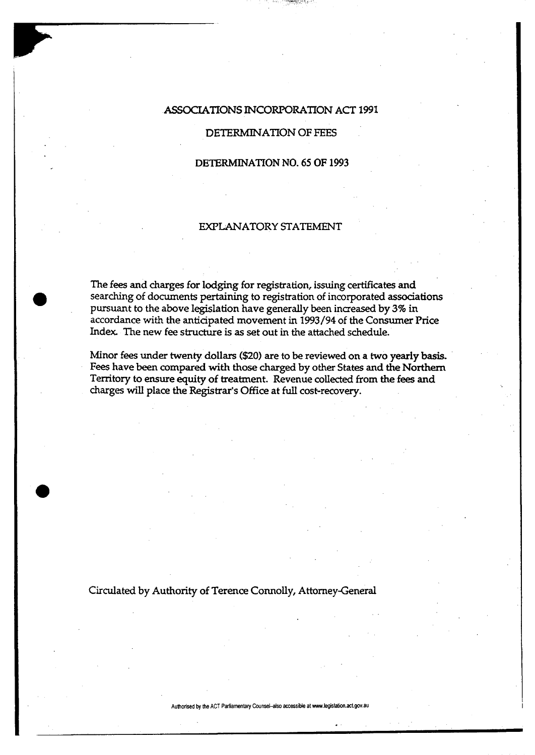# ASSOCIATIONS INCORPORATION ACT 1991

# DETERMINATION OF FEES

### DETERMINATION NO. 65 OF 1993

## EXPLANATORY STATEMENT

The fees and charges for lodging for registration, issuing certificates and searching of documents pertaining to registration of incorporated associations pursuant to the above legislation have generally been increased by 3% in accordance with the anticipated movement in 1993/94 of the Consumer Price Index. The new fee structure is as set out in the attached schedule.

Minor fees under twenty dollars (\$20) are to be reviewed on a two yearly basis. Fees have been compared with those charged by other States and the Northern Territory to ensure equity of treatment. Revenue collected from the fees and charges will place the Registrar's Office at full cost-recovery.

Circulated by Authority of Terence Connolly, Attorney-General

**Authorised by the ACT Parliamentary Counsel-also accessible at www.legislation.act.gov.au**